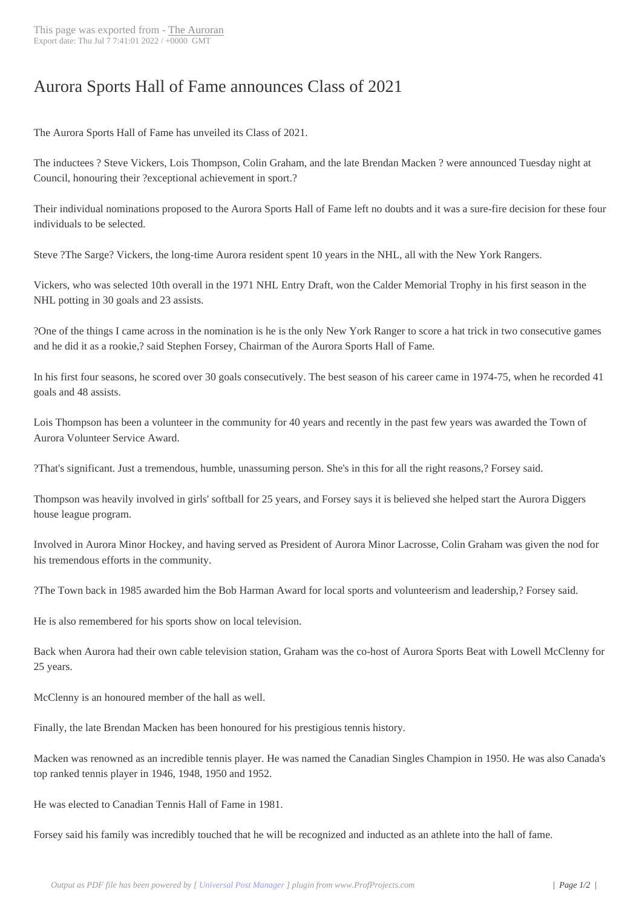## Aurora Sports Hall [of Fame](http://www.newspapers-online.com/auroran/?p=29515) announces Class of 2021

The Aurora Sports Hall of Fame has unveiled its Class of 2021.

The inductees ? Steve Vickers, Lois Thompson, Colin Graham, and the late Brendan Macken ? were announced Tuesday night at Council, honouring their ?exceptional achievement in sport.?

Their individual nominations proposed to the Aurora Sports Hall of Fame left no doubts and it was a sure-fire decision for these four individuals to be selected.

Steve ?The Sarge? Vickers, the long-time Aurora resident spent 10 years in the NHL, all with the New York Rangers.

Vickers, who was selected 10th overall in the 1971 NHL Entry Draft, won the Calder Memorial Trophy in his first season in the NHL potting in 30 goals and 23 assists.

?One of the things I came across in the nomination is he is the only New York Ranger to score a hat trick in two consecutive games and he did it as a rookie,? said Stephen Forsey, Chairman of the Aurora Sports Hall of Fame.

In his first four seasons, he scored over 30 goals consecutively. The best season of his career came in 1974-75, when he recorded 41 goals and 48 assists.

Lois Thompson has been a volunteer in the community for 40 years and recently in the past few years was awarded the Town of Aurora Volunteer Service Award.

?That's significant. Just a tremendous, humble, unassuming person. She's in this for all the right reasons,? Forsey said.

Thompson was heavily involved in girls' softball for 25 years, and Forsey says it is believed she helped start the Aurora Diggers house league program.

Involved in Aurora Minor Hockey, and having served as President of Aurora Minor Lacrosse, Colin Graham was given the nod for his tremendous efforts in the community.

?The Town back in 1985 awarded him the Bob Harman Award for local sports and volunteerism and leadership,? Forsey said.

He is also remembered for his sports show on local television.

Back when Aurora had their own cable television station, Graham was the co-host of Aurora Sports Beat with Lowell McClenny for 25 years.

McClenny is an honoured member of the hall as well.

Finally, the late Brendan Macken has been honoured for his prestigious tennis history.

Macken was renowned as an incredible tennis player. He was named the Canadian Singles Champion in 1950. He was also Canada's top ranked tennis player in 1946, 1948, 1950 and 1952.

He was elected to Canadian Tennis Hall of Fame in 1981.

Forsey said his family was incredibly touched that he will be recognized and inducted as an athlete into the hall of fame.